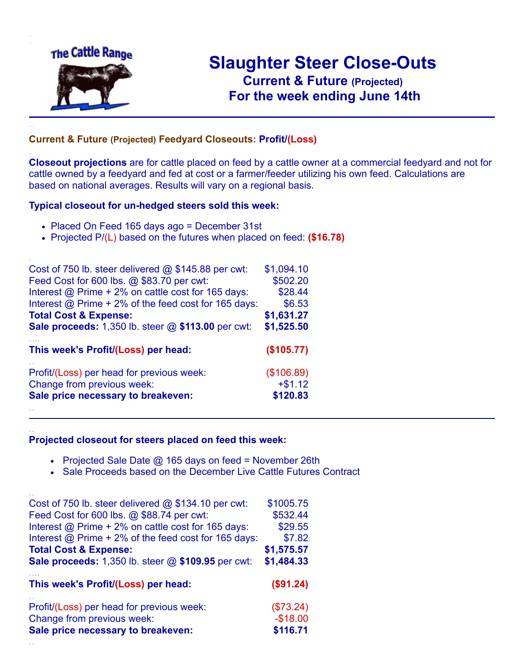

.

..

# **Slaughter Steer Close-Outs Current & Future (Projected)** .**For the week ending June 14th**

### **Current & Future (Projected) Feedyard Closeouts: Profit/(Loss)**

**Closeout projections** are for cattle placed on feed by a cattle owner at a commercial feedyard and not for cattle owned by a feedyard and fed at cost or a farmer/feeder utilizing his own feed. Calculations are based on national averages. Results will vary on a regional basis.

#### **Typical closeout for un-hedged steers sold this week:**

- Placed On Feed 165 days ago = December 31st
- Projected P/(L) based on the futures when placed on feed: **(\$16.78)**

| Cost of 750 lb. steer delivered $@$ \$145.88 per cwt:       | \$1,094.10 |
|-------------------------------------------------------------|------------|
| Feed Cost for 600 lbs. @ \$83.70 per cwt:                   | \$502.20   |
| Interest @ Prime + 2% on cattle cost for 165 days:          | \$28.44    |
| Interest $\omega$ Prime + 2% of the feed cost for 165 days: | \$6.53     |
| <b>Total Cost &amp; Expense:</b>                            | \$1,631.27 |
| <b>Sale proceeds:</b> 1,350 lb. steer $@$ \$113.00 per cwt: | \$1,525.50 |
| This week's Profit/(Loss) per head:                         | (\$105.77) |
| Profit/(Loss) per head for previous week:                   | (\$106.89) |
| Change from previous week:                                  | $+ $1.12$  |
| Sale price necessary to breakeven:                          | \$120.83   |
|                                                             |            |

#### **Projected closeout for steers placed on feed this week:**

- Projected Sale Date  $@$  165 days on feed = November 26th
- Sale Proceeds based on the December Live Cattle Futures Contract

| Cost of 750 lb. steer delivered $@$ \$134.10 per cwt:  | \$1005.75  |
|--------------------------------------------------------|------------|
| Feed Cost for 600 lbs. @ \$88.74 per cwt:              | \$532.44   |
| Interest @ Prime + 2% on cattle cost for 165 days:     | \$29.55    |
| Interest $@$ Prime + 2% of the feed cost for 165 days: | \$7.82     |
| <b>Total Cost &amp; Expense:</b>                       | \$1,575.57 |
| Sale proceeds: 1,350 lb. steer @ \$109.95 per cwt:     | \$1,484.33 |
|                                                        |            |
| This week's Profit/(Loss) per head:                    | (\$91.24)  |
| Profit/(Loss) per head for previous week:              | (\$73.24)  |
| Change from previous week:                             | $-$18.00$  |
| Sale price necessary to breakeven:                     | \$116.71   |